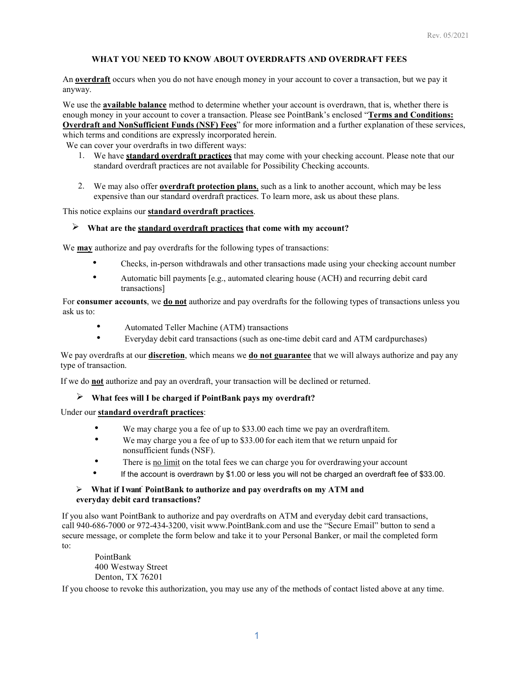### **WHAT YOU NEED TO KNOW ABOUT OVERDRAFTS AND OVERDRAFT FEES**

An **overdraft** occurs when you do not have enough money in your account to cover a transaction, but we pay it anyway.

We use the **available balance** method to determine whether your account is overdrawn, that is, whether there is enough money in your account to cover a transaction. Please see PointBank's enclosed "**Terms and Conditions: Overdraft and NonSufficient Funds (NSF) Fees**" for more information and a further explanation of these services, which terms and conditions are expressly incorporated herein.

We can cover your overdrafts in two different ways:

- 1. We have **standard overdraft practices** that may come with your checking account. Please note that our standard overdraft practices are not available for Possibility Checking accounts.
- 2. We may also offer **overdraft protection plans**, such as a link to another account, which may be less expensive than our standard overdraft practices. To learn more, ask us about these plans.

This notice explains our **standard overdraft practices**.

#### **What are the standard overdraft practices that come with my account?**

We **may** authorize and pay overdrafts for the following types of transactions:

- Checks, in-person withdrawals and other transactions made using your checking account number
- Automatic bill payments [e.g., automated clearing house (ACH) and recurring debit card transactions]

For **consumer accounts**, we **do not** authorize and pay overdrafts for the following types of transactions unless you ask us to:

- Automated Teller Machine (ATM) transactions
- Everyday debit card transactions (such as one-time debit card and ATM cardpurchases)

We pay overdrafts at our **discretion**, which means we **do not guarantee** that we will always authorize and pay any type of transaction.

If we do **not** authorize and pay an overdraft, your transaction will be declined or returned.

# **What fees will I be charged if PointBank pays my overdraft?**

## Under our **standard overdraft practices**:

- We may charge you a fee of up to \$33.00 each time we pay an overdraftitem.
- We may charge you a fee of up to \$33.00 for each item that we return unpaid for nonsufficient funds (NSF).
- There is no limit on the total fees we can charge you for overdrawing your account
- If the account is overdrawn by \$1.00 or less you will not be charged an overdraft fee of \$33.00.

# **What if Iwant**. **PointBank to authorize and pay overdrafts on my ATM and everyday debit card transactions?**

If you also want PointBank to authorize and pay overdrafts on ATM and everyday debit card transactions, call 940-686-7000 or 972-434-3200, visit [www.PointBank.com a](http://www.pointbank.com/)nd use the "Secure Email" button to send a secure message, or complete the form below and take it to your Personal Banker, or mail the completed form to:

PointBank 400 Westway Street Denton, TX 76201

If you choose to revoke this authorization, you may use any of the methods of contact listed above at any time.